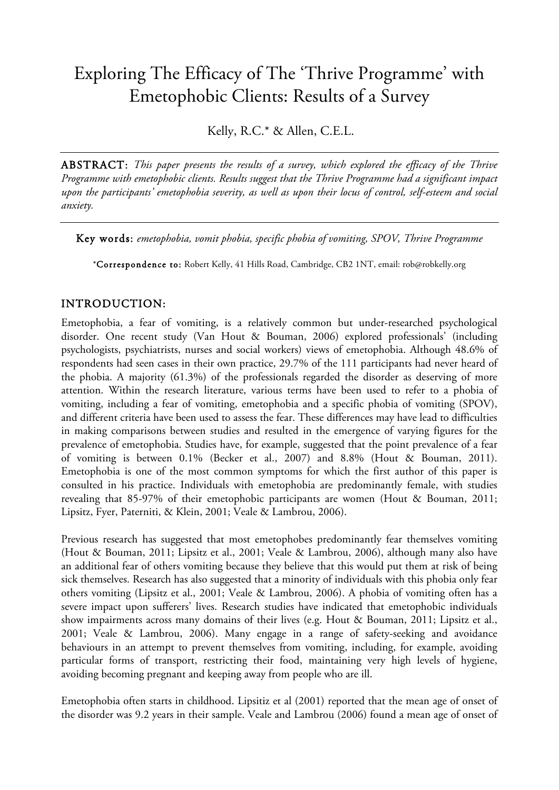# Exploring The Efficacy of The 'Thrive Programme' with Emetophobic Clients: Results of a Survey

Kelly, R.C.\* & Allen, C.E.L.

ABSTRACT: *This paper presents the results of a survey, which explored the efficacy of the Thrive Programme with emetophobic clients. Results suggest that the Thrive Programme had a significant impact upon the participants' emetophobia severity, as well as upon their locus of control, self-esteem and social anxiety.*

Key words: *emetophobia, vomit phobia, specific phobia of vomiting, SPOV, Thrive Programme*

\*Correspondence to: Robert Kelly, 41 Hills Road, Cambridge, CB2 1NT, email: rob@robkelly.org

## INTRODUCTION:

Emetophobia, a fear of vomiting, is a relatively common but under-researched psychological disorder. One recent study (Van Hout & Bouman, 2006) explored professionals' (including psychologists, psychiatrists, nurses and social workers) views of emetophobia. Although 48.6% of respondents had seen cases in their own practice, 29.7% of the 111 participants had never heard of the phobia. A majority (61.3%) of the professionals regarded the disorder as deserving of more attention. Within the research literature, various terms have been used to refer to a phobia of vomiting, including a fear of vomiting, emetophobia and a specific phobia of vomiting (SPOV), and different criteria have been used to assess the fear. These differences may have lead to difficulties in making comparisons between studies and resulted in the emergence of varying figures for the prevalence of emetophobia. Studies have, for example, suggested that the point prevalence of a fear of vomiting is between 0.1% (Becker et al., 2007) and 8.8% (Hout & Bouman, 2011). Emetophobia is one of the most common symptoms for which the first author of this paper is consulted in his practice. Individuals with emetophobia are predominantly female, with studies revealing that 85-97% of their emetophobic participants are women (Hout & Bouman, 2011; Lipsitz, Fyer, Paterniti, & Klein, 2001; Veale & Lambrou, 2006).

Previous research has suggested that most emetophobes predominantly fear themselves vomiting (Hout & Bouman, 2011; Lipsitz et al., 2001; Veale & Lambrou, 2006), although many also have an additional fear of others vomiting because they believe that this would put them at risk of being sick themselves. Research has also suggested that a minority of individuals with this phobia only fear others vomiting (Lipsitz et al., 2001; Veale & Lambrou, 2006). A phobia of vomiting often has a severe impact upon sufferers' lives. Research studies have indicated that emetophobic individuals show impairments across many domains of their lives (e.g. Hout & Bouman, 2011; Lipsitz et al., 2001; Veale & Lambrou, 2006). Many engage in a range of safety-seeking and avoidance behaviours in an attempt to prevent themselves from vomiting, including, for example, avoiding particular forms of transport, restricting their food, maintaining very high levels of hygiene, avoiding becoming pregnant and keeping away from people who are ill.

Emetophobia often starts in childhood. Lipsitiz et al (2001) reported that the mean age of onset of the disorder was 9.2 years in their sample. Veale and Lambrou (2006) found a mean age of onset of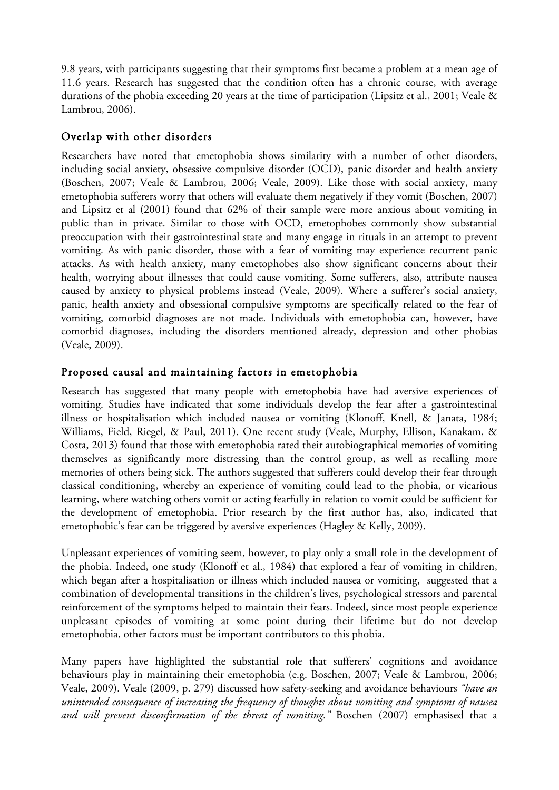9.8 years, with participants suggesting that their symptoms first became a problem at a mean age of 11.6 years. Research has suggested that the condition often has a chronic course, with average durations of the phobia exceeding 20 years at the time of participation (Lipsitz et al., 2001; Veale & Lambrou, 2006).

## Overlap with other disorders

Researchers have noted that emetophobia shows similarity with a number of other disorders, including social anxiety, obsessive compulsive disorder (OCD), panic disorder and health anxiety (Boschen, 2007; Veale & Lambrou, 2006; Veale, 2009). Like those with social anxiety, many emetophobia sufferers worry that others will evaluate them negatively if they vomit (Boschen, 2007) and Lipsitz et al (2001) found that 62% of their sample were more anxious about vomiting in public than in private. Similar to those with OCD, emetophobes commonly show substantial preoccupation with their gastrointestinal state and many engage in rituals in an attempt to prevent vomiting. As with panic disorder, those with a fear of vomiting may experience recurrent panic attacks. As with health anxiety, many emetophobes also show significant concerns about their health, worrying about illnesses that could cause vomiting. Some sufferers, also, attribute nausea caused by anxiety to physical problems instead (Veale, 2009). Where a sufferer's social anxiety, panic, health anxiety and obsessional compulsive symptoms are specifically related to the fear of vomiting, comorbid diagnoses are not made. Individuals with emetophobia can, however, have comorbid diagnoses, including the disorders mentioned already, depression and other phobias (Veale, 2009).

## Proposed causal and maintaining factors in emetophobia

Research has suggested that many people with emetophobia have had aversive experiences of vomiting. Studies have indicated that some individuals develop the fear after a gastrointestinal illness or hospitalisation which included nausea or vomiting (Klonoff, Knell, & Janata, 1984; Williams, Field, Riegel, & Paul, 2011). One recent study (Veale, Murphy, Ellison, Kanakam, & Costa, 2013) found that those with emetophobia rated their autobiographical memories of vomiting themselves as significantly more distressing than the control group, as well as recalling more memories of others being sick. The authors suggested that sufferers could develop their fear through classical conditioning, whereby an experience of vomiting could lead to the phobia, or vicarious learning, where watching others vomit or acting fearfully in relation to vomit could be sufficient for the development of emetophobia. Prior research by the first author has, also, indicated that emetophobic's fear can be triggered by aversive experiences (Hagley & Kelly, 2009).

Unpleasant experiences of vomiting seem, however, to play only a small role in the development of the phobia. Indeed, one study (Klonoff et al., 1984) that explored a fear of vomiting in children, which began after a hospitalisation or illness which included nausea or vomiting, suggested that a combination of developmental transitions in the children's lives, psychological stressors and parental reinforcement of the symptoms helped to maintain their fears. Indeed, since most people experience unpleasant episodes of vomiting at some point during their lifetime but do not develop emetophobia, other factors must be important contributors to this phobia.

Many papers have highlighted the substantial role that sufferers' cognitions and avoidance behaviours play in maintaining their emetophobia (e.g. Boschen, 2007; Veale & Lambrou, 2006; Veale, 2009). Veale (2009, p. 279) discussed how safety-seeking and avoidance behaviours *"have an unintended consequence of increasing the frequency of thoughts about vomiting and symptoms of nausea and will prevent disconfirmation of the threat of vomiting."* Boschen (2007) emphasised that a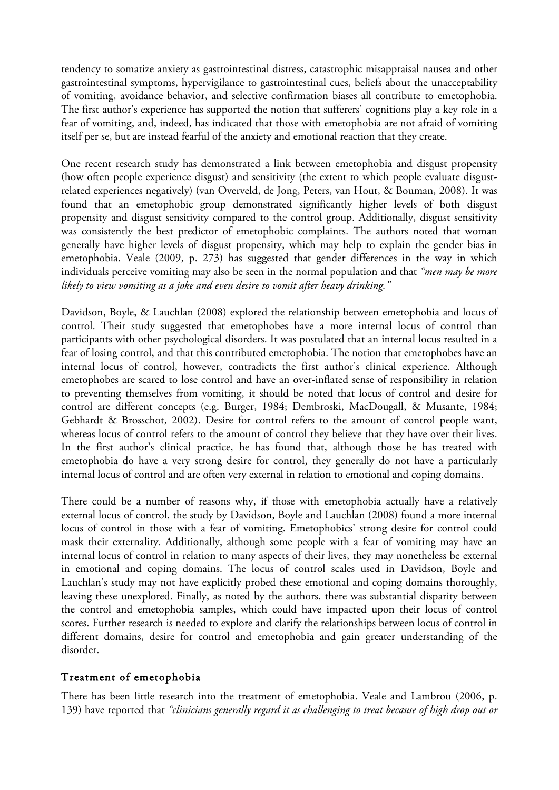tendency to somatize anxiety as gastrointestinal distress, catastrophic misappraisal nausea and other gastrointestinal symptoms, hypervigilance to gastrointestinal cues, beliefs about the unacceptability of vomiting, avoidance behavior, and selective confirmation biases all contribute to emetophobia. The first author's experience has supported the notion that sufferers' cognitions play a key role in a fear of vomiting, and, indeed, has indicated that those with emetophobia are not afraid of vomiting itself per se, but are instead fearful of the anxiety and emotional reaction that they create.

One recent research study has demonstrated a link between emetophobia and disgust propensity (how often people experience disgust) and sensitivity (the extent to which people evaluate disgustrelated experiences negatively) (van Overveld, de Jong, Peters, van Hout, & Bouman, 2008). It was found that an emetophobic group demonstrated significantly higher levels of both disgust propensity and disgust sensitivity compared to the control group. Additionally, disgust sensitivity was consistently the best predictor of emetophobic complaints. The authors noted that woman generally have higher levels of disgust propensity, which may help to explain the gender bias in emetophobia. Veale (2009, p. 273) has suggested that gender differences in the way in which individuals perceive vomiting may also be seen in the normal population and that *"men may be more likely to view vomiting as a joke and even desire to vomit after heavy drinking."*

Davidson, Boyle, & Lauchlan (2008) explored the relationship between emetophobia and locus of control. Their study suggested that emetophobes have a more internal locus of control than participants with other psychological disorders. It was postulated that an internal locus resulted in a fear of losing control, and that this contributed emetophobia. The notion that emetophobes have an internal locus of control, however, contradicts the first author's clinical experience. Although emetophobes are scared to lose control and have an over-inflated sense of responsibility in relation to preventing themselves from vomiting, it should be noted that locus of control and desire for control are different concepts (e.g. Burger, 1984; Dembroski, MacDougall, & Musante, 1984; Gebhardt & Brosschot, 2002). Desire for control refers to the amount of control people want, whereas locus of control refers to the amount of control they believe that they have over their lives. In the first author's clinical practice, he has found that, although those he has treated with emetophobia do have a very strong desire for control, they generally do not have a particularly internal locus of control and are often very external in relation to emotional and coping domains.

There could be a number of reasons why, if those with emetophobia actually have a relatively external locus of control, the study by Davidson, Boyle and Lauchlan (2008) found a more internal locus of control in those with a fear of vomiting. Emetophobics' strong desire for control could mask their externality. Additionally, although some people with a fear of vomiting may have an internal locus of control in relation to many aspects of their lives, they may nonetheless be external in emotional and coping domains. The locus of control scales used in Davidson, Boyle and Lauchlan's study may not have explicitly probed these emotional and coping domains thoroughly, leaving these unexplored. Finally, as noted by the authors, there was substantial disparity between the control and emetophobia samples, which could have impacted upon their locus of control scores. Further research is needed to explore and clarify the relationships between locus of control in different domains, desire for control and emetophobia and gain greater understanding of the disorder.

### Treatment of emetophobia

There has been little research into the treatment of emetophobia. Veale and Lambrou (2006, p. 139) have reported that *"clinicians generally regard it as challenging to treat because of high drop out or*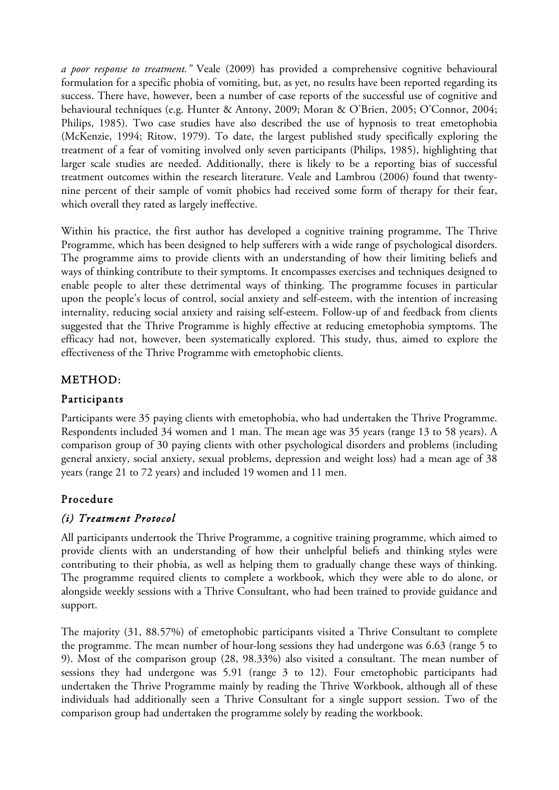*a poor response to treatment."* Veale (2009) has provided a comprehensive cognitive behavioural formulation for a specific phobia of vomiting, but, as yet, no results have been reported regarding its success. There have, however, been a number of case reports of the successful use of cognitive and behavioural techniques (e.g. Hunter & Antony, 2009; Moran & O'Brien, 2005; O'Connor, 2004; Philips, 1985). Two case studies have also described the use of hypnosis to treat emetophobia (McKenzie, 1994; Ritow, 1979). To date, the largest published study specifically exploring the treatment of a fear of vomiting involved only seven participants (Philips, 1985), highlighting that larger scale studies are needed. Additionally, there is likely to be a reporting bias of successful treatment outcomes within the research literature. Veale and Lambrou (2006) found that twentynine percent of their sample of vomit phobics had received some form of therapy for their fear, which overall they rated as largely ineffective.

Within his practice, the first author has developed a cognitive training programme, The Thrive Programme, which has been designed to help sufferers with a wide range of psychological disorders. The programme aims to provide clients with an understanding of how their limiting beliefs and ways of thinking contribute to their symptoms. It encompasses exercises and techniques designed to enable people to alter these detrimental ways of thinking. The programme focuses in particular upon the people's locus of control, social anxiety and self-esteem, with the intention of increasing internality, reducing social anxiety and raising self-esteem. Follow-up of and feedback from clients suggested that the Thrive Programme is highly effective at reducing emetophobia symptoms. The efficacy had not, however, been systematically explored. This study, thus, aimed to explore the effectiveness of the Thrive Programme with emetophobic clients.

## METHOD:

## Participants

Participants were 35 paying clients with emetophobia, who had undertaken the Thrive Programme. Respondents included 34 women and 1 man. The mean age was 35 years (range 13 to 58 years). A comparison group of 30 paying clients with other psychological disorders and problems (including general anxiety, social anxiety, sexual problems, depression and weight loss) had a mean age of 38 years (range 21 to 72 years) and included 19 women and 11 men.

## Procedure

# *(i) Treatment Protocol*

All participants undertook the Thrive Programme, a cognitive training programme, which aimed to provide clients with an understanding of how their unhelpful beliefs and thinking styles were contributing to their phobia, as well as helping them to gradually change these ways of thinking. The programme required clients to complete a workbook, which they were able to do alone, or alongside weekly sessions with a Thrive Consultant, who had been trained to provide guidance and support.

The majority (31, 88.57%) of emetophobic participants visited a Thrive Consultant to complete the programme. The mean number of hour-long sessions they had undergone was 6.63 (range 5 to 9). Most of the comparison group (28, 98.33%) also visited a consultant. The mean number of sessions they had undergone was 5.91 (range 3 to 12). Four emetophobic participants had undertaken the Thrive Programme mainly by reading the Thrive Workbook, although all of these individuals had additionally seen a Thrive Consultant for a single support session. Two of the comparison group had undertaken the programme solely by reading the workbook.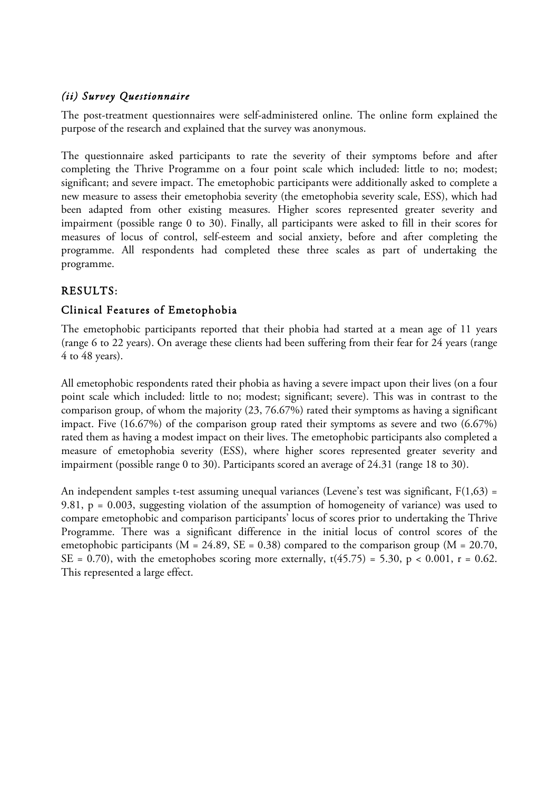## *(ii) Survey Questionnaire*

The post-treatment questionnaires were self-administered online. The online form explained the purpose of the research and explained that the survey was anonymous.

The questionnaire asked participants to rate the severity of their symptoms before and after completing the Thrive Programme on a four point scale which included: little to no; modest; significant; and severe impact. The emetophobic participants were additionally asked to complete a new measure to assess their emetophobia severity (the emetophobia severity scale, ESS), which had been adapted from other existing measures. Higher scores represented greater severity and impairment (possible range 0 to 30). Finally, all participants were asked to fill in their scores for measures of locus of control, self-esteem and social anxiety, before and after completing the programme. All respondents had completed these three scales as part of undertaking the programme.

# RESULTS:

## Clinical Features of Emetophobia

The emetophobic participants reported that their phobia had started at a mean age of 11 years (range 6 to 22 years). On average these clients had been suffering from their fear for 24 years (range 4 to 48 years).

All emetophobic respondents rated their phobia as having a severe impact upon their lives (on a four point scale which included: little to no; modest; significant; severe). This was in contrast to the comparison group, of whom the majority (23, 76.67%) rated their symptoms as having a significant impact. Five (16.67%) of the comparison group rated their symptoms as severe and two (6.67%) rated them as having a modest impact on their lives. The emetophobic participants also completed a measure of emetophobia severity (ESS), where higher scores represented greater severity and impairment (possible range 0 to 30). Participants scored an average of 24.31 (range 18 to 30).

An independent samples t-test assuming unequal variances (Levene's test was significant,  $F(1,63) =$ 9.81, p = 0.003, suggesting violation of the assumption of homogeneity of variance) was used to compare emetophobic and comparison participants' locus of scores prior to undertaking the Thrive Programme. There was a significant difference in the initial locus of control scores of the emetophobic participants ( $M = 24.89$ ,  $SE = 0.38$ ) compared to the comparison group ( $M = 20.70$ , SE = 0.70), with the emetophobes scoring more externally,  $t(45.75) = 5.30$ ,  $p < 0.001$ ,  $r = 0.62$ . This represented a large effect.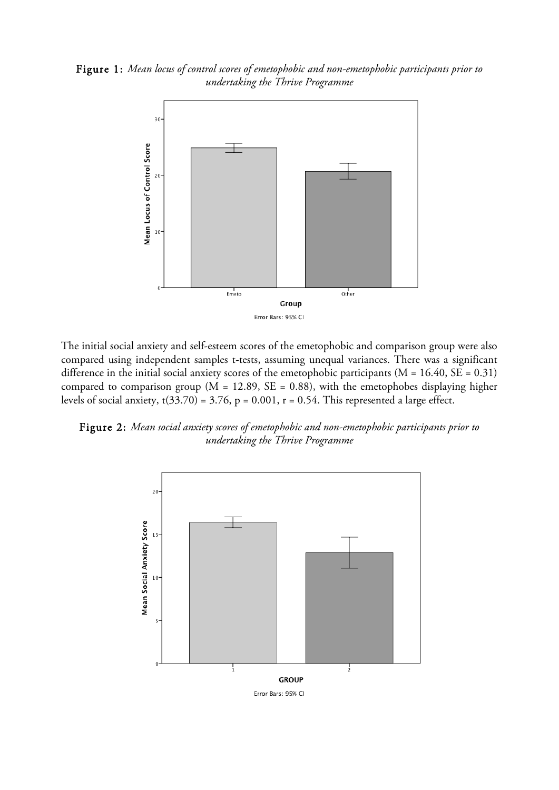Figure 1: *Mean locus of control scores of emetophobic and non-emetophobic participants prior to undertaking the Thrive Programme*



The initial social anxiety and self-esteem scores of the emetophobic and comparison group were also compared using independent samples t-tests, assuming unequal variances. There was a significant difference in the initial social anxiety scores of the emetophobic participants ( $M = 16.40$ ,  $SE = 0.31$ ) compared to comparison group ( $M = 12.89$ ,  $SE = 0.88$ ), with the emetophobes displaying higher levels of social anxiety,  $t(33.70) = 3.76$ ,  $p = 0.001$ ,  $r = 0.54$ . This represented a large effect.

Figure 2: *Mean social anxiety scores of emetophobic and non-emetophobic participants prior to undertaking the Thrive Programme*

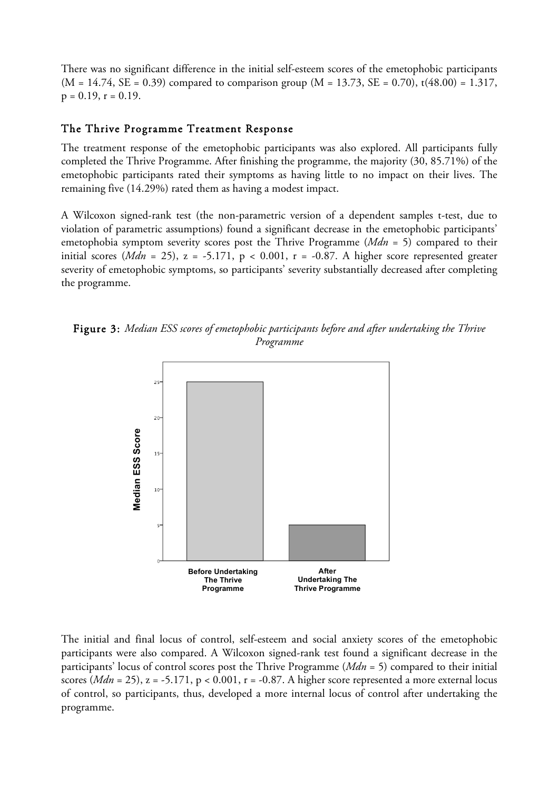There was no significant difference in the initial self-esteem scores of the emetophobic participants  $(M = 14.74, SE = 0.39)$  compared to comparison group  $(M = 13.73, SE = 0.70)$ , t(48.00) = 1.317,  $p = 0.19$ ,  $r = 0.19$ .

#### The Thrive Programme Treatment Response

The treatment response of the emetophobic participants was also explored. All participants fully completed the Thrive Programme. After finishing the programme, the majority (30, 85.71%) of the emetophobic participants rated their symptoms as having little to no impact on their lives. The remaining five (14.29%) rated them as having a modest impact.

A Wilcoxon signed-rank test (the non-parametric version of a dependent samples t-test, due to violation of parametric assumptions) found a significant decrease in the emetophobic participants' emetophobia symptom severity scores post the Thrive Programme (*Mdn* = 5) compared to their initial scores ( $Mdn = 25$ ),  $z = -5.171$ ,  $p < 0.001$ ,  $r = -0.87$ . A higher score represented greater severity of emetophobic symptoms, so participants' severity substantially decreased after completing the programme.

Figure 3: *Median ESS scores of emetophobic participants before and after undertaking the Thrive Programme*



The initial and final locus of control, self-esteem and social anxiety scores of the emetophobic participants were also compared. A Wilcoxon signed-rank test found a significant decrease in the participants' locus of control scores post the Thrive Programme (*Mdn* = 5) compared to their initial scores ( $Mdn = 25$ ),  $z = -5.171$ ,  $p < 0.001$ ,  $r = -0.87$ . A higher score represented a more external locus of control, so participants, thus, developed a more internal locus of control after undertaking the programme.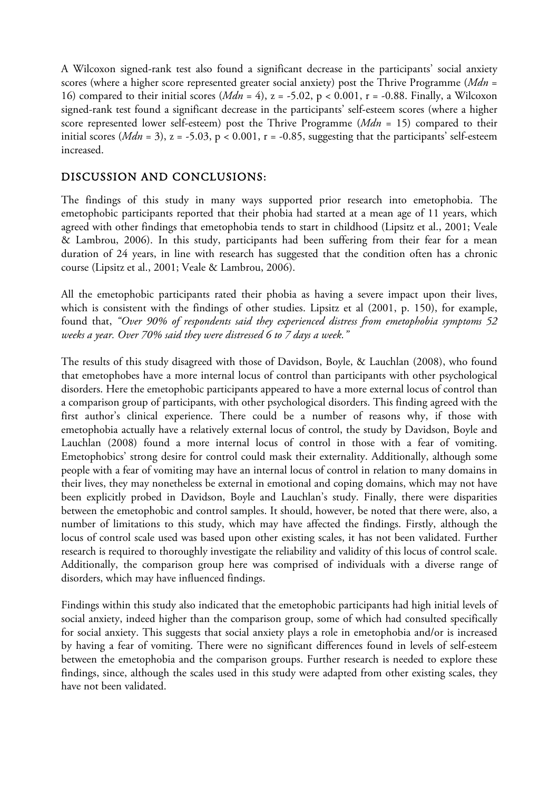A Wilcoxon signed-rank test also found a significant decrease in the participants' social anxiety scores (where a higher score represented greater social anxiety) post the Thrive Programme (*Mdn* = 16) compared to their initial scores (*Mdn* = 4), z = -5.02, p < 0.001, r = -0.88. Finally, a Wilcoxon signed-rank test found a significant decrease in the participants' self-esteem scores (where a higher score represented lower self-esteem) post the Thrive Programme (*Mdn* = 15) compared to their initial scores ( $Mdn = 3$ ),  $z = -5.03$ ,  $p < 0.001$ ,  $r = -0.85$ , suggesting that the participants' self-esteem increased.

## DISCUSSION AND CONCLUSIONS:

The findings of this study in many ways supported prior research into emetophobia. The emetophobic participants reported that their phobia had started at a mean age of 11 years, which agreed with other findings that emetophobia tends to start in childhood (Lipsitz et al., 2001; Veale & Lambrou, 2006). In this study, participants had been suffering from their fear for a mean duration of 24 years, in line with research has suggested that the condition often has a chronic course (Lipsitz et al., 2001; Veale & Lambrou, 2006).

All the emetophobic participants rated their phobia as having a severe impact upon their lives, which is consistent with the findings of other studies. Lipsitz et al (2001, p. 150), for example, found that, *"Over 90% of respondents said they experienced distress from emetophobia symptoms 52 weeks a year. Over 70% said they were distressed 6 to 7 days a week."*

The results of this study disagreed with those of Davidson, Boyle, & Lauchlan (2008), who found that emetophobes have a more internal locus of control than participants with other psychological disorders. Here the emetophobic participants appeared to have a more external locus of control than a comparison group of participants, with other psychological disorders. This finding agreed with the first author's clinical experience. There could be a number of reasons why, if those with emetophobia actually have a relatively external locus of control, the study by Davidson, Boyle and Lauchlan (2008) found a more internal locus of control in those with a fear of vomiting. Emetophobics' strong desire for control could mask their externality. Additionally, although some people with a fear of vomiting may have an internal locus of control in relation to many domains in their lives, they may nonetheless be external in emotional and coping domains, which may not have been explicitly probed in Davidson, Boyle and Lauchlan's study. Finally, there were disparities between the emetophobic and control samples. It should, however, be noted that there were, also, a number of limitations to this study, which may have affected the findings. Firstly, although the locus of control scale used was based upon other existing scales, it has not been validated. Further research is required to thoroughly investigate the reliability and validity of this locus of control scale. Additionally, the comparison group here was comprised of individuals with a diverse range of disorders, which may have influenced findings.

Findings within this study also indicated that the emetophobic participants had high initial levels of social anxiety, indeed higher than the comparison group, some of which had consulted specifically for social anxiety. This suggests that social anxiety plays a role in emetophobia and/or is increased by having a fear of vomiting. There were no significant differences found in levels of self-esteem between the emetophobia and the comparison groups. Further research is needed to explore these findings, since, although the scales used in this study were adapted from other existing scales, they have not been validated.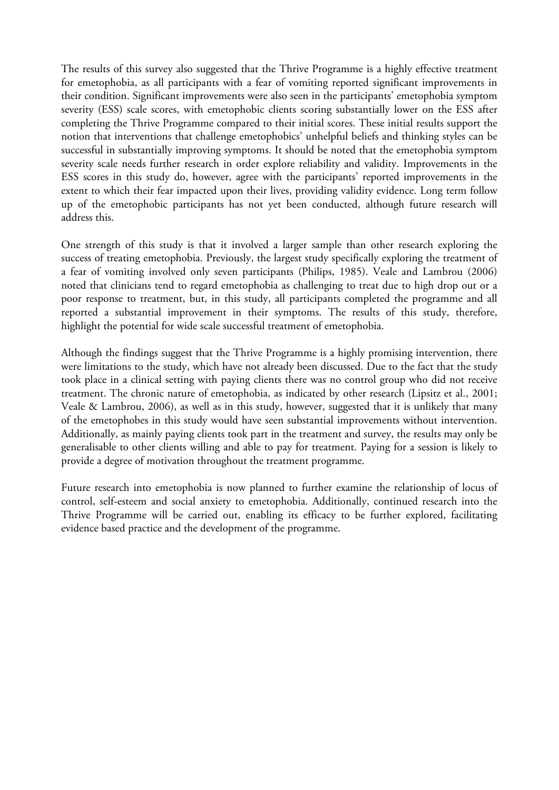The results of this survey also suggested that the Thrive Programme is a highly effective treatment for emetophobia, as all participants with a fear of vomiting reported significant improvements in their condition. Significant improvements were also seen in the participants' emetophobia symptom severity (ESS) scale scores, with emetophobic clients scoring substantially lower on the ESS after completing the Thrive Programme compared to their initial scores. These initial results support the notion that interventions that challenge emetophobics' unhelpful beliefs and thinking styles can be successful in substantially improving symptoms. It should be noted that the emetophobia symptom severity scale needs further research in order explore reliability and validity. Improvements in the ESS scores in this study do, however, agree with the participants' reported improvements in the extent to which their fear impacted upon their lives, providing validity evidence. Long term follow up of the emetophobic participants has not yet been conducted, although future research will address this.

One strength of this study is that it involved a larger sample than other research exploring the success of treating emetophobia. Previously, the largest study specifically exploring the treatment of a fear of vomiting involved only seven participants (Philips, 1985). Veale and Lambrou (2006) noted that clinicians tend to regard emetophobia as challenging to treat due to high drop out or a poor response to treatment, but, in this study, all participants completed the programme and all reported a substantial improvement in their symptoms. The results of this study, therefore, highlight the potential for wide scale successful treatment of emetophobia.

Although the findings suggest that the Thrive Programme is a highly promising intervention, there were limitations to the study, which have not already been discussed. Due to the fact that the study took place in a clinical setting with paying clients there was no control group who did not receive treatment. The chronic nature of emetophobia, as indicated by other research (Lipsitz et al., 2001; Veale & Lambrou, 2006), as well as in this study, however, suggested that it is unlikely that many of the emetophobes in this study would have seen substantial improvements without intervention. Additionally, as mainly paying clients took part in the treatment and survey, the results may only be generalisable to other clients willing and able to pay for treatment. Paying for a session is likely to provide a degree of motivation throughout the treatment programme.

Future research into emetophobia is now planned to further examine the relationship of locus of control, self-esteem and social anxiety to emetophobia. Additionally, continued research into the Thrive Programme will be carried out, enabling its efficacy to be further explored, facilitating evidence based practice and the development of the programme.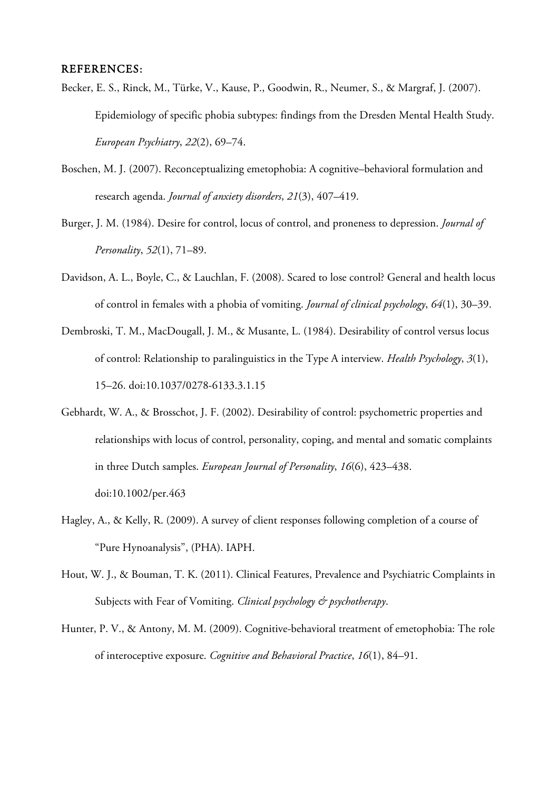#### REFERENCES:

- Becker, E. S., Rinck, M., Türke, V., Kause, P., Goodwin, R., Neumer, S., & Margraf, J. (2007). Epidemiology of specific phobia subtypes: findings from the Dresden Mental Health Study. *European Psychiatry*, *22*(2), 69–74.
- Boschen, M. J. (2007). Reconceptualizing emetophobia: A cognitive–behavioral formulation and research agenda. *Journal of anxiety disorders*, *21*(3), 407–419.
- Burger, J. M. (1984). Desire for control, locus of control, and proneness to depression. *Journal of Personality*, *52*(1), 71–89.
- Davidson, A. L., Boyle, C., & Lauchlan, F. (2008). Scared to lose control? General and health locus of control in females with a phobia of vomiting. *Journal of clinical psychology*, *64*(1), 30–39.
- Dembroski, T. M., MacDougall, J. M., & Musante, L. (1984). Desirability of control versus locus of control: Relationship to paralinguistics in the Type A interview. *Health Psychology*, *3*(1), 15–26. doi:10.1037/0278-6133.3.1.15
- Gebhardt, W. A., & Brosschot, J. F. (2002). Desirability of control: psychometric properties and relationships with locus of control, personality, coping, and mental and somatic complaints in three Dutch samples. *European Journal of Personality*, *16*(6), 423–438. doi:10.1002/per.463
- Hagley, A., & Kelly, R. (2009). A survey of client responses following completion of a course of "Pure Hynoanalysis", (PHA). IAPH.
- Hout, W. J., & Bouman, T. K. (2011). Clinical Features, Prevalence and Psychiatric Complaints in Subjects with Fear of Vomiting. *Clinical psychology & psychotherapy*.
- Hunter, P. V., & Antony, M. M. (2009). Cognitive-behavioral treatment of emetophobia: The role of interoceptive exposure. *Cognitive and Behavioral Practice*, *16*(1), 84–91.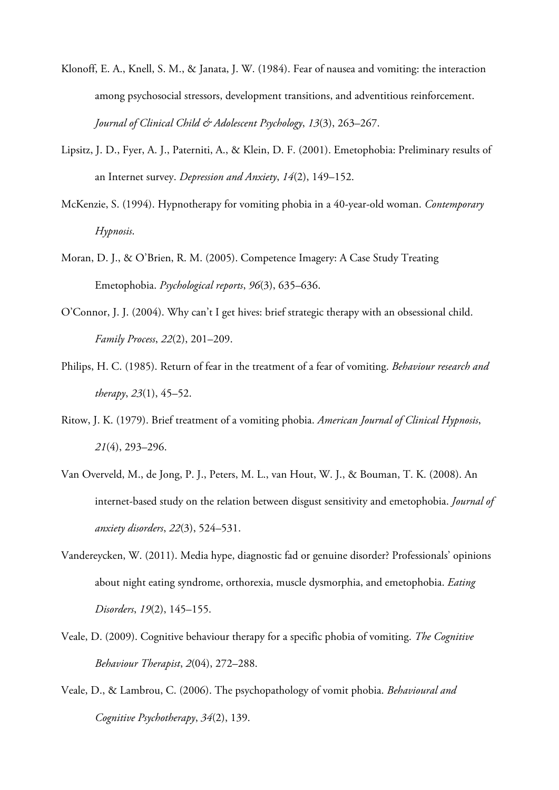- Klonoff, E. A., Knell, S. M., & Janata, J. W. (1984). Fear of nausea and vomiting: the interaction among psychosocial stressors, development transitions, and adventitious reinforcement. *Journal of Clinical Child & Adolescent Psychology*, *13*(3), 263–267.
- Lipsitz, J. D., Fyer, A. J., Paterniti, A., & Klein, D. F. (2001). Emetophobia: Preliminary results of an Internet survey. *Depression and Anxiety*, *14*(2), 149–152.
- McKenzie, S. (1994). Hypnotherapy for vomiting phobia in a 40-year-old woman. *Contemporary Hypnosis*.
- Moran, D. J., & O'Brien, R. M. (2005). Competence Imagery: A Case Study Treating Emetophobia. *Psychological reports*, *96*(3), 635–636.
- O'Connor, J. J. (2004). Why can't I get hives: brief strategic therapy with an obsessional child. *Family Process*, *22*(2), 201–209.
- Philips, H. C. (1985). Return of fear in the treatment of a fear of vomiting. *Behaviour research and therapy*, *23*(1), 45–52.
- Ritow, J. K. (1979). Brief treatment of a vomiting phobia. *American Journal of Clinical Hypnosis*, *21*(4), 293–296.
- Van Overveld, M., de Jong, P. J., Peters, M. L., van Hout, W. J., & Bouman, T. K. (2008). An internet-based study on the relation between disgust sensitivity and emetophobia. *Journal of anxiety disorders*, *22*(3), 524–531.
- Vandereycken, W. (2011). Media hype, diagnostic fad or genuine disorder? Professionals' opinions about night eating syndrome, orthorexia, muscle dysmorphia, and emetophobia. *Eating Disorders*, *19*(2), 145–155.
- Veale, D. (2009). Cognitive behaviour therapy for a specific phobia of vomiting. *The Cognitive Behaviour Therapist*, *2*(04), 272–288.
- Veale, D., & Lambrou, C. (2006). The psychopathology of vomit phobia. *Behavioural and Cognitive Psychotherapy*, *34*(2), 139.